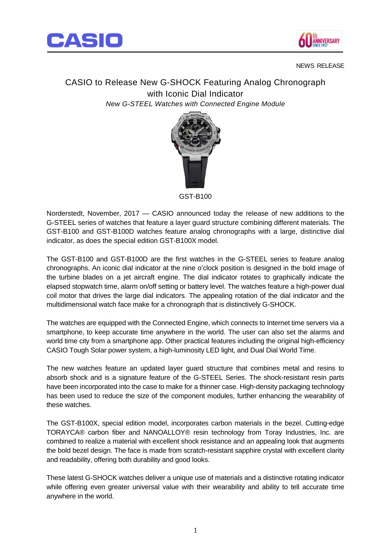



## NEWS RELEASE

CASIO to Release New G-SHOCK Featuring Analog Chronograph with Iconic Dial Indicator *New G-STEEL Watches with Connected Engine Module*



GST-B100

Norderstedt, November, 2017 — CASIO announced today the release of new additions to the G-STEEL series of watches that feature a layer guard structure combining different materials. The GST-B100 and GST-B100D watches feature analog chronographs with a large, distinctive dial indicator, as does the special edition GST-B100X model.

The GST-B100 and GST-B100D are the first watches in the G-STEEL series to feature analog chronographs. An iconic dial indicator at the nine o'clock position is designed in the bold image of the turbine blades on a jet aircraft engine. The dial indicator rotates to graphically indicate the elapsed stopwatch time, alarm on/off setting or battery level. The watches feature a high-power dual coil motor that drives the large dial indicators. The appealing rotation of the dial indicator and the multidimensional watch face make for a chronograph that is distinctively G-SHOCK.

The watches are equipped with the Connected Engine, which connects to Internet time servers via a smartphone, to keep accurate time anywhere in the world. The user can also set the alarms and world time city from a smartphone app. Other practical features including the original high-efficiency CASIO Tough Solar power system, a high-luminosity LED light, and Dual Dial World Time.

The new watches feature an updated layer guard structure that combines metal and resins to absorb shock and is a signature feature of the G-STEEL Series. The shock-resistant resin parts have been incorporated into the case to make for a thinner case. High-density packaging technology has been used to reduce the size of the component modules, further enhancing the wearability of these watches.

The GST-B100X, special edition model, incorporates carbon materials in the bezel. Cutting-edge TORAYCA® carbon fiber and NANOALLOY® resin technology from Toray Industries, Inc. are combined to realize a material with excellent shock resistance and an appealing look that augments the bold bezel design. The face is made from scratch-resistant sapphire crystal with excellent clarity and readability, offering both durability and good looks.

These latest G-SHOCK watches deliver a unique use of materials and a distinctive rotating indicator while offering even greater universal value with their wearability and ability to tell accurate time anywhere in the world.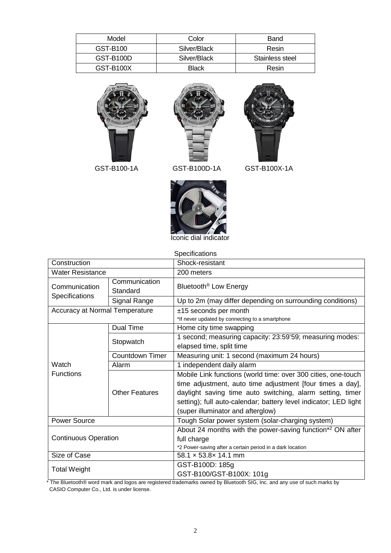| Model     | Color        | Band            |
|-----------|--------------|-----------------|
| GST-B100  | Silver/Black | Resin           |
| GST-B100D | Silver/Black | Stainless steel |
| GST-B100X | <b>Black</b> | Resin           |





## GST-B100-1A GST-B100D-1A GST-B100X-1A



Iconic dial indicator

Specifications

| Construction                    |                           | Shock-resistant                                                                                                                                                                                                                                                                                  |  |
|---------------------------------|---------------------------|--------------------------------------------------------------------------------------------------------------------------------------------------------------------------------------------------------------------------------------------------------------------------------------------------|--|
| <b>Water Resistance</b>         |                           | 200 meters                                                                                                                                                                                                                                                                                       |  |
| Communication<br>Specifications | Communication<br>Standard | Bluetooth <sup>®</sup> Low Energy                                                                                                                                                                                                                                                                |  |
|                                 | Signal Range              | Up to 2m (may differ depending on surrounding conditions)                                                                                                                                                                                                                                        |  |
| Accuracy at Normal Temperature  |                           | $±15$ seconds per month<br>*If never updated by connecting to a smartphone                                                                                                                                                                                                                       |  |
|                                 | Dual Time                 | Home city time swapping                                                                                                                                                                                                                                                                          |  |
|                                 | Stopwatch                 | 1 second; measuring capacity: 23:59'59; measuring modes:<br>elapsed time, split time                                                                                                                                                                                                             |  |
|                                 | <b>Countdown Timer</b>    | Measuring unit: 1 second (maximum 24 hours)                                                                                                                                                                                                                                                      |  |
| Watch                           | Alarm                     | 1 independent daily alarm                                                                                                                                                                                                                                                                        |  |
| <b>Functions</b>                | <b>Other Features</b>     | Mobile Link functions (world time: over 300 cities, one-touch<br>time adjustment, auto time adjustment [four times a day],<br>daylight saving time auto switching, alarm setting, timer<br>setting); full auto-calendar; battery level indicator; LED light<br>(super illuminator and afterglow) |  |
| <b>Power Source</b>             |                           | Tough Solar power system (solar-charging system)                                                                                                                                                                                                                                                 |  |
| <b>Continuous Operation</b>     |                           | About 24 months with the power-saving function* <sup>2</sup> ON after<br>full charge<br>*2 Power-saving after a certain period in a dark location                                                                                                                                                |  |
| Size of Case                    |                           | $58.1 \times 53.8 \times 14.1$ mm                                                                                                                                                                                                                                                                |  |
| <b>Total Weight</b>             |                           | GST-B100D: 185g<br>GST-B100/GST-B100X: 101g                                                                                                                                                                                                                                                      |  |

\* The Bluetooth® word mark and logos are registered trademarks owned by Bluetooth SIG, Inc. and any use of such marks by CASIO Computer Co., Ltd. is under license.